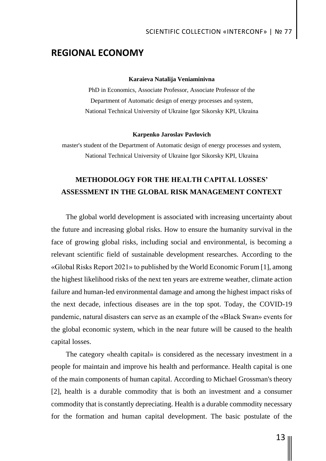## **REGIONAL ECONOMY**

### **Karaieva Natalija Veniaminivna**

PhD in Economics, Associate Professor, Associate Professor of the Department of Automatic design of energy processes and system, National Technical University of Ukraine Igor Sikorsky KPI, Ukrainа

#### **Karpenko Jaroslav Pavlovich**

master's student of the Department of Automatic design of energy processes and system, National Technical University of Ukraine Igor Sikorsky KPI, Ukrainа

# **METHODOLOGY FOR THE HEALTH CAPITAL LOSSES' ASSESSMENT IN THE GLOBAL RISK MANAGEMENT CONTEXT**

The global world development is associated with increasing uncertainty about the future and increasing global risks. How to ensure the humanity survival in the face of growing global risks, including social and environmental, is becoming a relevant scientific field of sustainable development researches. According to the «Global Risks Report 2021» to published by the World Economic Forum [1], among the highest likelihood risks of the next ten years are extreme weather, climate action failure and human-led environmental damage and among the highest impact risks of the next decade, infectious diseases are in the top spot. Today, the COVID-19 pandemic, natural disasters can serve as an example of the «Black Swan» events for the global economic system, which in the near future will be caused to the health capital losses.

The category «health capital» is considered as the necessary investment in a people for maintain and improve his health and performance. Health capital is one of the main components of human capital. According to Michael Grossman's theory [2], health is a durable commodity that is both an investment and a consumer commodity that is constantly depreciating. Health is a durable commodity necessary for the formation and human capital development. The basic postulate of the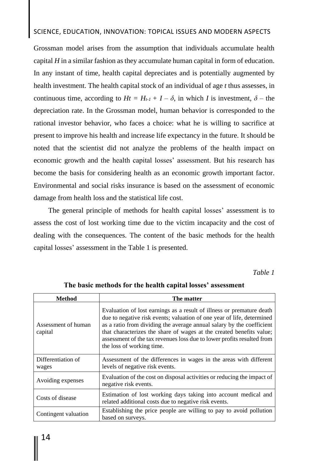### SCIENCE, EDUCATION, INNOVATION: TOPICAL ISSUES AND MODERN ASPECTS

Grossman model arises from the assumption that individuals accumulate health capital *H* in a similar fashion as they accumulate human capital in form of education. In any instant of time, health capital depreciates and is potentially augmented by health investment. The health capital stock of an individual of age *t* thus assesses, in continuous time, according to  $Ht = H_{t-1} + I - \delta$ , in which *I* is investment,  $\delta$  – the depreciation rate. In the Grossman model, human behavior is corresponded to the rational investor behavior, who faces a choice: what he is willing to sacrifice at present to improve his health and increase life expectancy in the future. It should be noted that the scientist did not analyze the problems of the health impact on economic growth and the health capital losses' assessment. But his research has become the basis for considering health as an economic growth important factor. Environmental and social risks insurance is based on the assessment of economic damage from health loss and the statistical life cost.

The general principle of methods for health capital losses' assessment is to assess the cost of lost working time due to the victim incapacity and the cost of dealing with the consequences. The content of the basic methods for the health capital losses' assessment in the Table 1 is presented.

*Table 1*

| <b>Method</b>                  | The matter                                                                                                                                                                                                                                                                                                                                                                                              |
|--------------------------------|---------------------------------------------------------------------------------------------------------------------------------------------------------------------------------------------------------------------------------------------------------------------------------------------------------------------------------------------------------------------------------------------------------|
| Assessment of human<br>capital | Evaluation of lost earnings as a result of illness or premature death<br>due to negative risk events; valuation of one year of life, determined<br>as a ratio from dividing the average annual salary by the coefficient<br>that characterizes the share of wages at the created benefits value;<br>assessment of the tax revenues loss due to lower profits resulted from<br>the loss of working time. |
| Differentiation of<br>wages    | Assessment of the differences in wages in the areas with different<br>levels of negative risk events.                                                                                                                                                                                                                                                                                                   |
| Avoiding expenses              | Evaluation of the cost on disposal activities or reducing the impact of<br>negative risk events.                                                                                                                                                                                                                                                                                                        |
| Costs of disease               | Estimation of lost working days taking into account medical and<br>related additional costs due to negative risk events.                                                                                                                                                                                                                                                                                |
| Contingent valuation           | Establishing the price people are willing to pay to avoid pollution<br>based on surveys.                                                                                                                                                                                                                                                                                                                |

**The basic methods for the health capital losses' assessment**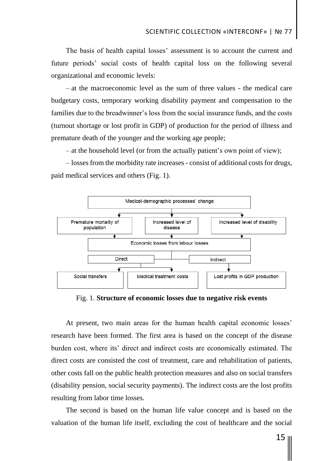The basis of health capital losses' assessment is to account the current and future periods' social costs of health capital loss on the following several organizational and economic levels:

– at the macroeconomic level as the sum of three values - the medical care budgetary costs, temporary working disability payment and compensation to the families due to the breadwinner's loss from the social insurance funds, and the costs (turnout shortage or lost profit in GDP) of production for the period of illness and premature death of the younger and the working age people;

– at the household level (or from the actually patient's own point of view);

– losses from the morbidity rate increases - consist of additional costs for drugs, paid medical services and others (Fig. 1).



Fig. 1. **Structure of economic losses due to negative risk events**

At present, two main areas for the human health capital economic losses' research have been formed. The first area is based on the concept of the disease burden cost, where its' direct and indirect costs are economically estimated. The direct costs are consisted the cost of treatment, care and rehabilitation of patients, other costs fall on the public health protection measures and also on social transfers (disability pension, social security payments). The indirect costs are the lost profits resulting from labor time losses.

The second is based on the human life value concept and is based on the valuation of the human life itself, excluding the cost of healthcare and the social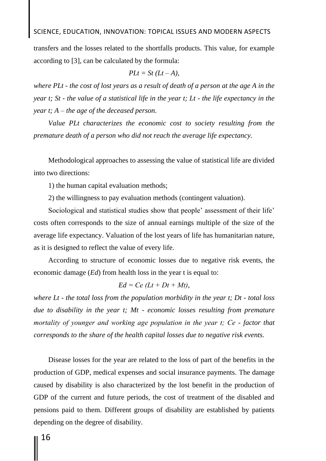### SCIENCE, EDUCATION, INNOVATION: TOPICAL ISSUES AND MODERN ASPECTS

transfers and the losses related to the shortfalls products. This value, for example according to [3], can be calculated by the formula:

$$
PLt = St(Lt - A),
$$

*where PLt - the cost of lost years as a result of death of a person at the age A in the year t; St - the value of a statistical life in the year t; Lt - the life expectancy in the year t; A – the age of the deceased person.* 

*Value PLt characterizes the economic cost to society resulting from the premature death of a person who did not reach the average life expectancy.*

Methodological approaches to assessing the value of statistical life are divided into two directions:

1) the human capital evaluation methods;

2) the willingness to pay evaluation methods (contingent valuation).

Sociological and statistical studies show that people' assessment of their life' costs often corresponds to the size of annual earnings multiple of the size of the average life expectancy. Valuation of the lost years of life has humanitarian nature, as it is designed to reflect the value of every life.

According to structure of economic losses due to negative risk events, the economic damage (*Ed*) from health loss in the year t is equal to:

$$
Ed = Ce (Lt + Dt + Mt),
$$

*where Lt - the total loss from the population morbidity in the year t; Dt - total loss due to disability in the year t; Mt - economic losses resulting from premature mortality of younger and working age population in the year t; Cе - factor that corresponds to the share of the health capital losses due to negative risk events.* 

Disease losses for the year are related to the loss of part of the benefits in the production of GDP, medical expenses and social insurance payments. The damage caused by disability is also characterized by the lost benefit in the production of GDP of the current and future periods, the cost of treatment of the disabled and pensions paid to them. Different groups of disability are established by patients depending on the degree of disability.